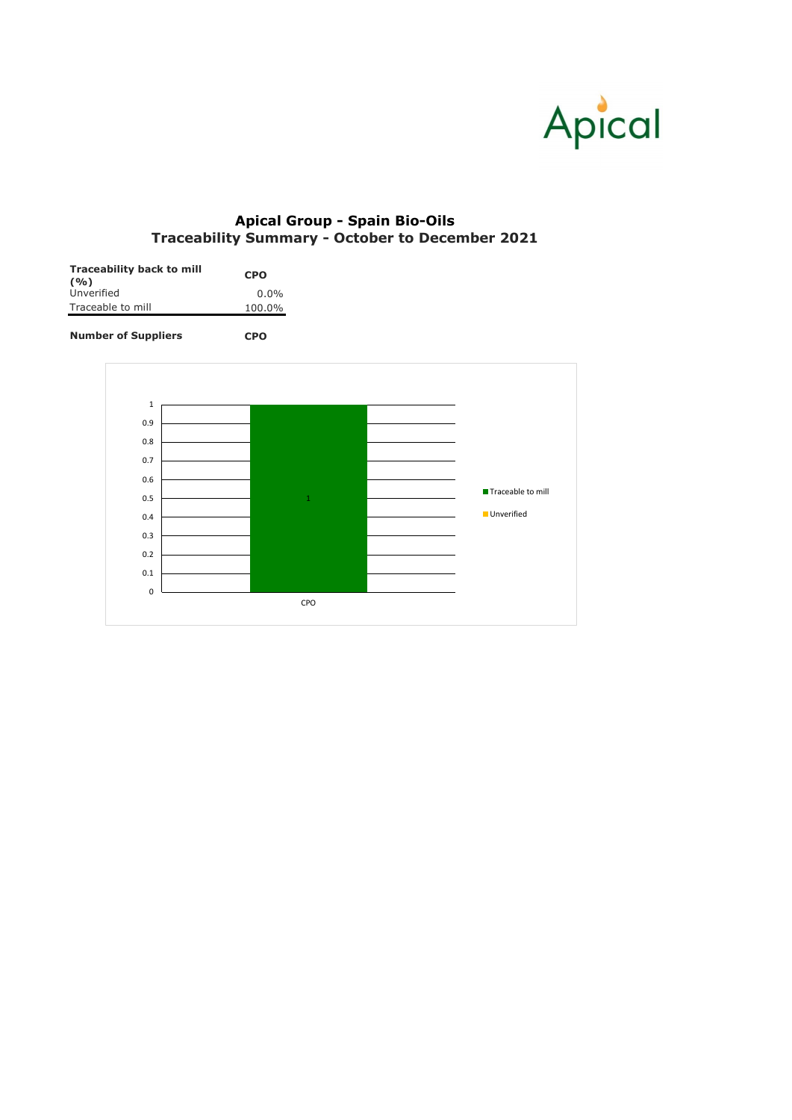| <b>Traceability back to mill</b> | <b>CPO</b> |  |  |
|----------------------------------|------------|--|--|
| (9/0)<br>Unverified              | $0.0\%$    |  |  |
| Traceable to mill                | 100.0%     |  |  |

**Number of Suppliers CPO**



## **Apical Group - Spain Bio-Oils Traceability Summary - October to December 2021**